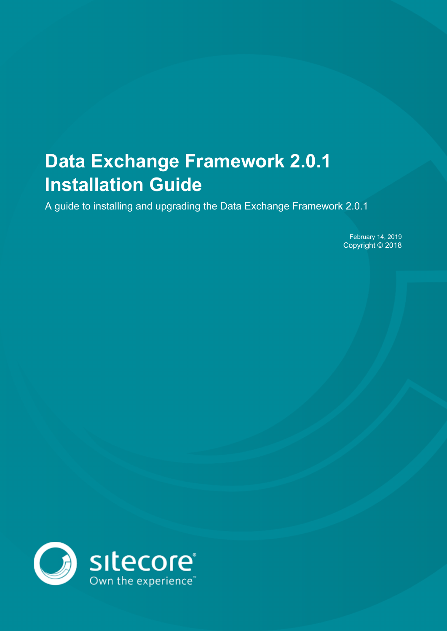# **Data Exchange Framework 2.0.1 Installation Guide**

A guide to installing and upgrading the Data Exchange Framework 2.0.1

February 14, 2019 Copyright © 2018

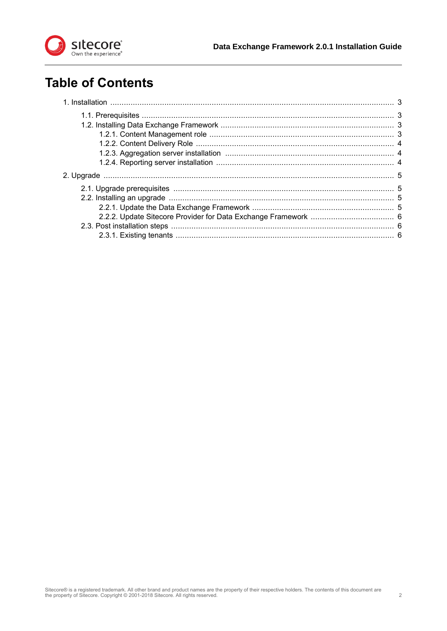

## **Table of Contents**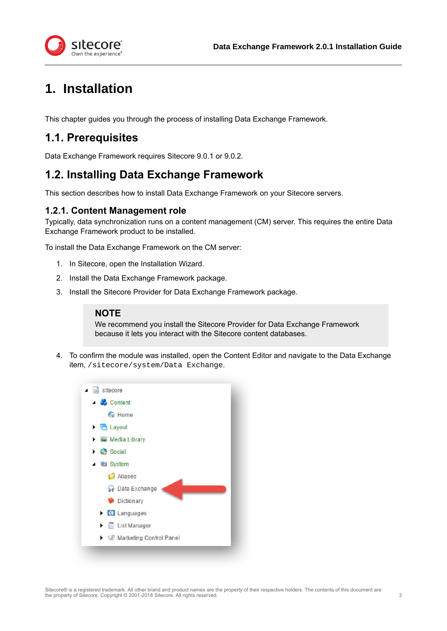



<span id="page-2-0"></span>tecore Own the experience

This chapter guides you through the process of installing Data Exchange Framework.

### **1.1. Prerequisites**

Data Exchange Framework requires Sitecore 9.0.1 or 9.0.2.

### **1.2. Installing Data Exchange Framework**

This section describes how to install Data Exchange Framework on your Sitecore servers.

#### **1.2.1. Content Management role**

Typically, data synchronization runs on a content management (CM) server. This requires the entire Data Exchange Framework product to be installed.

To install the Data Exchange Framework on the CM server:

- 1. In Sitecore, open the Installation Wizard.
- 2. Install the Data Exchange Framework package.
- 3. Install the Sitecore Provider for Data Exchange Framework package.

#### **NOTE**

We recommend you install the Sitecore Provider for Data Exchange Framework because it lets you interact with the Sitecore content databases.

4. To confirm the module was installed, open the Content Editor and navigate to the Data Exchange item, /sitecore/system/Data Exchange.

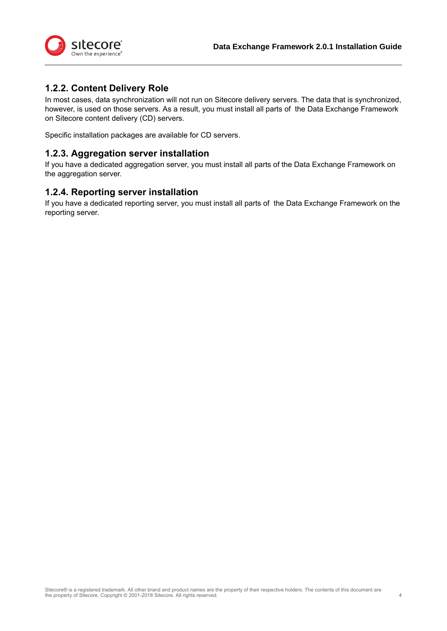<span id="page-3-0"></span>

### **1.2.2. Content Delivery Role**

In most cases, data synchronization will not run on Sitecore delivery servers. The data that is synchronized, however, is used on those servers. As a result, you must install all parts of the Data Exchange Framework on Sitecore content delivery (CD) servers.

Specific installation packages are available for CD servers.

#### **1.2.3. Aggregation server installation**

If you have a dedicated aggregation server, you must install all parts of the Data Exchange Framework on the aggregation server.

#### **1.2.4. Reporting server installation**

If you have a dedicated reporting server, you must install all parts of the Data Exchange Framework on the reporting server.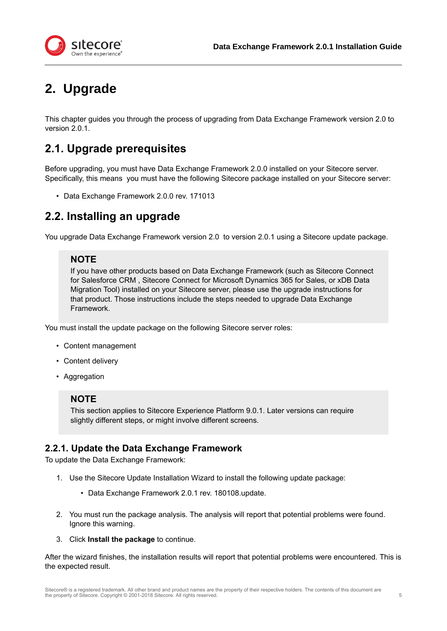<span id="page-4-0"></span>

# **2. Upgrade**

This chapter guides you through the process of upgrading from Data Exchange Framework version 2.0 to version 2.0.1.

### **2.1. Upgrade prerequisites**

Before upgrading, you must have Data Exchange Framework 2.0.0 installed on your Sitecore server. Specifically, this means you must have the following Sitecore package installed on your Sitecore server:

• Data Exchange Framework 2.0.0 rev. 171013

### **2.2. Installing an upgrade**

You upgrade Data Exchange Framework version 2.0 to version 2.0.1 using a Sitecore update package.

### **NOTE**

If you have other products based on Data Exchange Framework (such as Sitecore Connect for Salesforce CRM , Sitecore Connect for Microsoft Dynamics 365 for Sales, or xDB Data Migration Tool) installed on your Sitecore server, please use the upgrade instructions for that product. Those instructions include the steps needed to upgrade Data Exchange Framework.

You must install the update package on the following Sitecore server roles:

- Content management
- Content delivery
- Aggregation

#### **NOTE**

This section applies to Sitecore Experience Platform 9.0.1. Later versions can require slightly different steps, or might involve different screens.

### **2.2.1. Update the Data Exchange Framework**

To update the Data Exchange Framework:

- 1. Use the Sitecore Update Installation Wizard to install the following update package:
	- Data Exchange Framework 2.0.1 rev. 180108.update.
- 2. You must run the package analysis. The analysis will report that potential problems were found. Ignore this warning.
- 3. Click **Install the package** to continue.

After the wizard finishes, the installation results will report that potential problems were encountered. This is the expected result.